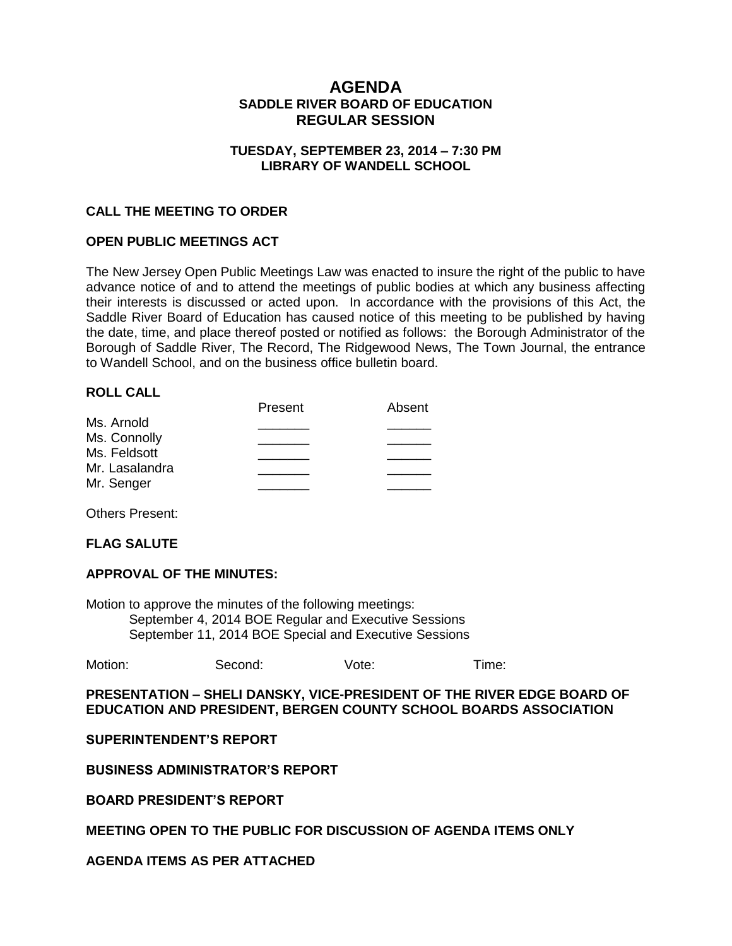# **AGENDA SADDLE RIVER BOARD OF EDUCATION REGULAR SESSION**

## **TUESDAY, SEPTEMBER 23, 2014 – 7:30 PM LIBRARY OF WANDELL SCHOOL**

## **CALL THE MEETING TO ORDER**

#### **OPEN PUBLIC MEETINGS ACT**

The New Jersey Open Public Meetings Law was enacted to insure the right of the public to have advance notice of and to attend the meetings of public bodies at which any business affecting their interests is discussed or acted upon. In accordance with the provisions of this Act, the Saddle River Board of Education has caused notice of this meeting to be published by having the date, time, and place thereof posted or notified as follows: the Borough Administrator of the Borough of Saddle River, The Record, The Ridgewood News, The Town Journal, the entrance to Wandell School, and on the business office bulletin board.

#### **ROLL CALL**

| Present | Absent |
|---------|--------|
|         |        |
|         |        |
|         |        |
|         |        |
|         |        |
|         |        |

Others Present:

#### **FLAG SALUTE**

#### **APPROVAL OF THE MINUTES:**

Motion to approve the minutes of the following meetings: September 4, 2014 BOE Regular and Executive Sessions September 11, 2014 BOE Special and Executive Sessions

|  | Motion: | Second: | Vote: | I ime: |
|--|---------|---------|-------|--------|
|--|---------|---------|-------|--------|

**PRESENTATION – SHELI DANSKY, VICE-PRESIDENT OF THE RIVER EDGE BOARD OF EDUCATION AND PRESIDENT, BERGEN COUNTY SCHOOL BOARDS ASSOCIATION**

**SUPERINTENDENT'S REPORT**

**BUSINESS ADMINISTRATOR'S REPORT**

**BOARD PRESIDENT'S REPORT**

#### **MEETING OPEN TO THE PUBLIC FOR DISCUSSION OF AGENDA ITEMS ONLY**

## **AGENDA ITEMS AS PER ATTACHED**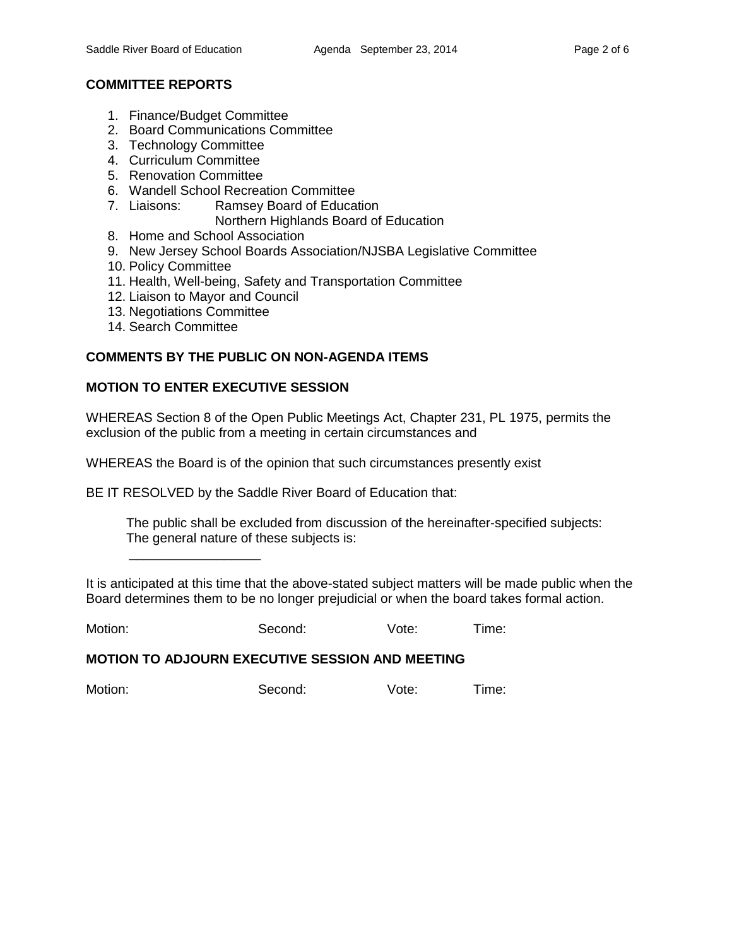# **COMMITTEE REPORTS**

- 1. Finance/Budget Committee
- 2. Board Communications Committee
- 3. Technology Committee
- 4. Curriculum Committee
- 5. Renovation Committee
- 6. Wandell School Recreation Committee
- 7. Liaisons: Ramsey Board of Education
	- Northern Highlands Board of Education
- 8. Home and School Association
- 9. New Jersey School Boards Association/NJSBA Legislative Committee
- 10. Policy Committee
- 11. Health, Well-being, Safety and Transportation Committee
- 12. Liaison to Mayor and Council
- 13. Negotiations Committee

\_\_\_\_\_\_\_\_\_\_\_\_\_\_\_\_\_\_

14. Search Committee

## **COMMENTS BY THE PUBLIC ON NON-AGENDA ITEMS**

## **MOTION TO ENTER EXECUTIVE SESSION**

WHEREAS Section 8 of the Open Public Meetings Act, Chapter 231, PL 1975, permits the exclusion of the public from a meeting in certain circumstances and

WHEREAS the Board is of the opinion that such circumstances presently exist

BE IT RESOLVED by the Saddle River Board of Education that:

 The public shall be excluded from discussion of the hereinafter-specified subjects: The general nature of these subjects is:

It is anticipated at this time that the above-stated subject matters will be made public when the Board determines them to be no longer prejudicial or when the board takes formal action.

Motion: Second: Vote: Time:

#### **MOTION TO ADJOURN EXECUTIVE SESSION AND MEETING**

Motion: Second: Vote: Time: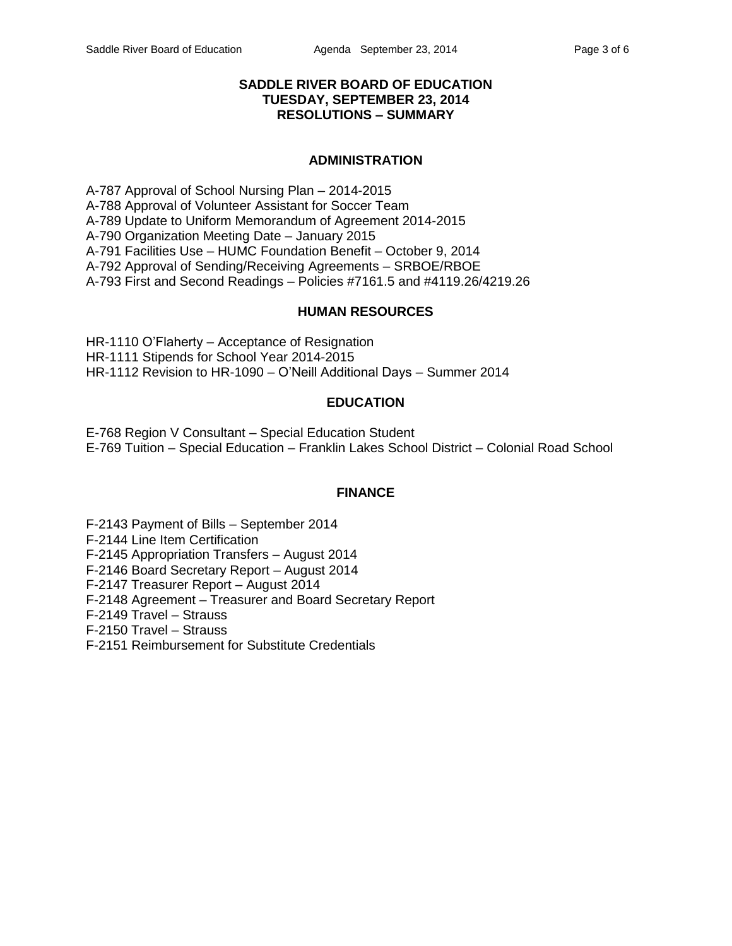# **SADDLE RIVER BOARD OF EDUCATION TUESDAY, SEPTEMBER 23, 2014 RESOLUTIONS – SUMMARY**

#### **ADMINISTRATION**

A-787 Approval of School Nursing Plan – 2014-2015 A-788 Approval of Volunteer Assistant for Soccer Team A-789 Update to Uniform Memorandum of Agreement 2014-2015 A-790 Organization Meeting Date – January 2015 A-791 Facilities Use – HUMC Foundation Benefit – October 9, 2014 A-792 Approval of Sending/Receiving Agreements – SRBOE/RBOE A-793 First and Second Readings – Policies #7161.5 and #4119.26/4219.26

#### **HUMAN RESOURCES**

HR-1110 O'Flaherty – Acceptance of Resignation HR-1111 Stipends for School Year 2014-2015 HR-1112 Revision to HR-1090 – O'Neill Additional Days – Summer 2014

# **EDUCATION**

E-768 Region V Consultant – Special Education Student E-769 Tuition – Special Education – Franklin Lakes School District – Colonial Road School

#### **FINANCE**

F-2143 Payment of Bills – September 2014 F-2144 Line Item Certification F-2145 Appropriation Transfers – August 2014 F-2146 Board Secretary Report – August 2014 F-2147 Treasurer Report – August 2014 F-2148 Agreement – Treasurer and Board Secretary Report F-2149 Travel – Strauss F-2150 Travel – Strauss F-2151 Reimbursement for Substitute Credentials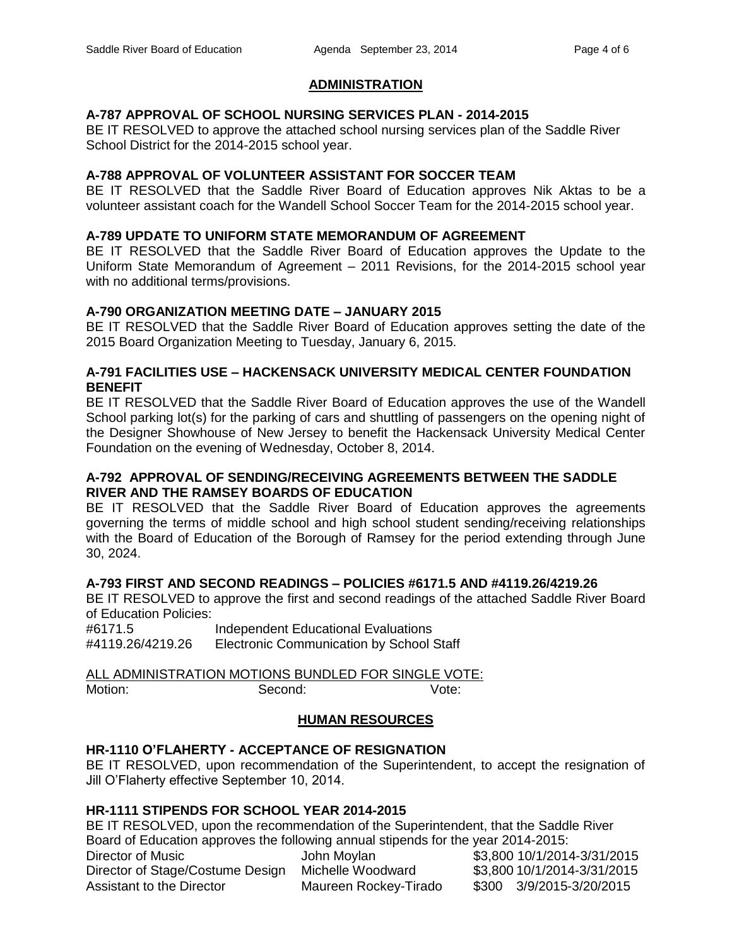# **ADMINISTRATION**

# **A-787 APPROVAL OF SCHOOL NURSING SERVICES PLAN - 2014-2015**

BE IT RESOLVED to approve the attached school nursing services plan of the Saddle River School District for the 2014-2015 school year.

# **A-788 APPROVAL OF VOLUNTEER ASSISTANT FOR SOCCER TEAM**

BE IT RESOLVED that the Saddle River Board of Education approves Nik Aktas to be a volunteer assistant coach for the Wandell School Soccer Team for the 2014-2015 school year.

## **A-789 UPDATE TO UNIFORM STATE MEMORANDUM OF AGREEMENT**

BE IT RESOLVED that the Saddle River Board of Education approves the Update to the Uniform State Memorandum of Agreement – 2011 Revisions, for the 2014-2015 school year with no additional terms/provisions.

## **A-790 ORGANIZATION MEETING DATE – JANUARY 2015**

BE IT RESOLVED that the Saddle River Board of Education approves setting the date of the 2015 Board Organization Meeting to Tuesday, January 6, 2015.

#### **A-791 FACILITIES USE – HACKENSACK UNIVERSITY MEDICAL CENTER FOUNDATION BENEFIT**

BE IT RESOLVED that the Saddle River Board of Education approves the use of the Wandell School parking lot(s) for the parking of cars and shuttling of passengers on the opening night of the Designer Showhouse of New Jersey to benefit the Hackensack University Medical Center Foundation on the evening of Wednesday, October 8, 2014.

## **A-792 APPROVAL OF SENDING/RECEIVING AGREEMENTS BETWEEN THE SADDLE RIVER AND THE RAMSEY BOARDS OF EDUCATION**

BE IT RESOLVED that the Saddle River Board of Education approves the agreements governing the terms of middle school and high school student sending/receiving relationships with the Board of Education of the Borough of Ramsey for the period extending through June 30, 2024.

# **A-793 FIRST AND SECOND READINGS – POLICIES #6171.5 AND #4119.26/4219.26**

BE IT RESOLVED to approve the first and second readings of the attached Saddle River Board of Education Policies:

#6171.5 Independent Educational Evaluations #4119.26/4219.26 Electronic Communication by School Staff

ALL ADMINISTRATION MOTIONS BUNDLED FOR SINGLE VOTE: Motion: Second: Second: Vote:

# **HUMAN RESOURCES**

# **HR-1110 O'FLAHERTY - ACCEPTANCE OF RESIGNATION**

BE IT RESOLVED, upon recommendation of the Superintendent, to accept the resignation of Jill O'Flaherty effective September 10, 2014.

# **HR-1111 STIPENDS FOR SCHOOL YEAR 2014-2015**

BE IT RESOLVED, upon the recommendation of the Superintendent, that the Saddle River Board of Education approves the following annual stipends for the year 2014-2015: Director of Music John Moylan \$3,800 10/1/2014-3/31/2015

Director of Stage/Costume Design Michelle Woodward \$3,800 10/1/2014-3/31/2015 Assistant to the Director Maureen Rockey-Tirado \$300 3/9/2015-3/20/2015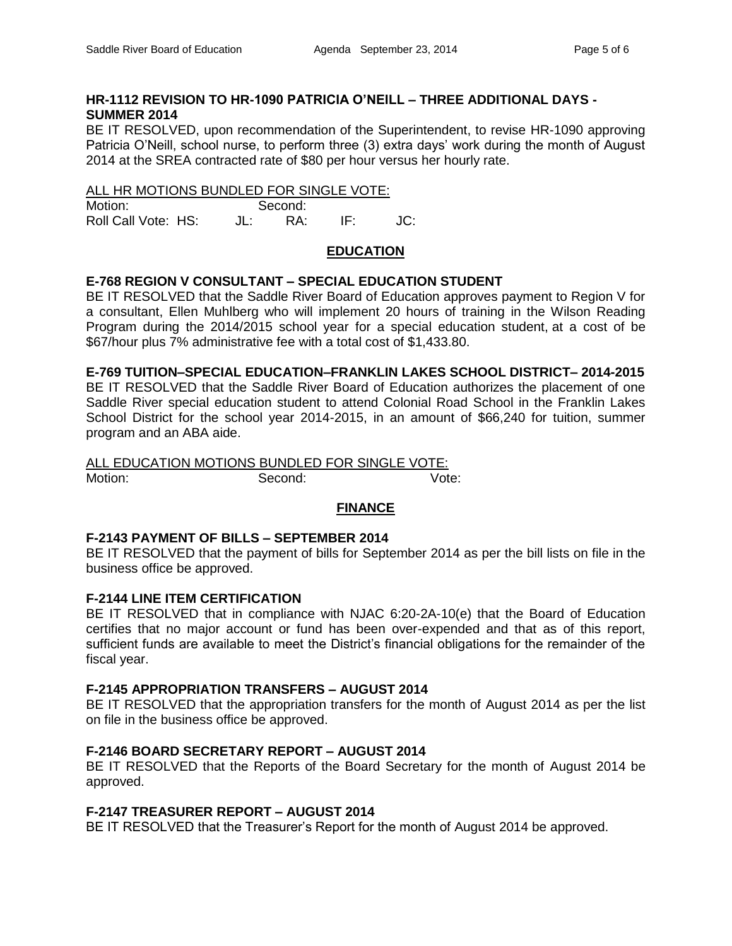# **HR-1112 REVISION TO HR-1090 PATRICIA O'NEILL – THREE ADDITIONAL DAYS - SUMMER 2014**

BE IT RESOLVED, upon recommendation of the Superintendent, to revise HR-1090 approving Patricia O'Neill, school nurse, to perform three (3) extra days' work during the month of August 2014 at the SREA contracted rate of \$80 per hour versus her hourly rate.

#### ALL HR MOTIONS BUNDLED FOR SINGLE VOTE:

| Motion:             | Second: |  |
|---------------------|---------|--|
| Roll Call Vote: HS: | RA:     |  |

## **EDUCATION**

## **E-768 REGION V CONSULTANT – SPECIAL EDUCATION STUDENT**

BE IT RESOLVED that the Saddle River Board of Education approves payment to Region V for a consultant, Ellen Muhlberg who will implement 20 hours of training in the Wilson Reading Program during the 2014/2015 school year for a special education student, at a cost of be \$67/hour plus 7% administrative fee with a total cost of \$1,433.80.

**E-769 TUITION–SPECIAL EDUCATION–FRANKLIN LAKES SCHOOL DISTRICT– 2014-2015** BE IT RESOLVED that the Saddle River Board of Education authorizes the placement of one

Saddle River special education student to attend Colonial Road School in the Franklin Lakes School District for the school year 2014-2015, in an amount of \$66,240 for tuition, summer program and an ABA aide.

#### ALL EDUCATION MOTIONS BUNDLED FOR SINGLE VOTE:

Motion: Second: Vote:

# **FINANCE**

# **F-2143 PAYMENT OF BILLS – SEPTEMBER 2014**

BE IT RESOLVED that the payment of bills for September 2014 as per the bill lists on file in the business office be approved.

#### **F-2144 LINE ITEM CERTIFICATION**

BE IT RESOLVED that in compliance with NJAC 6:20-2A-10(e) that the Board of Education certifies that no major account or fund has been over-expended and that as of this report, sufficient funds are available to meet the District's financial obligations for the remainder of the fiscal year.

#### **F-2145 APPROPRIATION TRANSFERS – AUGUST 2014**

BE IT RESOLVED that the appropriation transfers for the month of August 2014 as per the list on file in the business office be approved.

# **F-2146 BOARD SECRETARY REPORT – AUGUST 2014**

BE IT RESOLVED that the Reports of the Board Secretary for the month of August 2014 be approved.

#### **F-2147 TREASURER REPORT – AUGUST 2014**

BE IT RESOLVED that the Treasurer's Report for the month of August 2014 be approved.